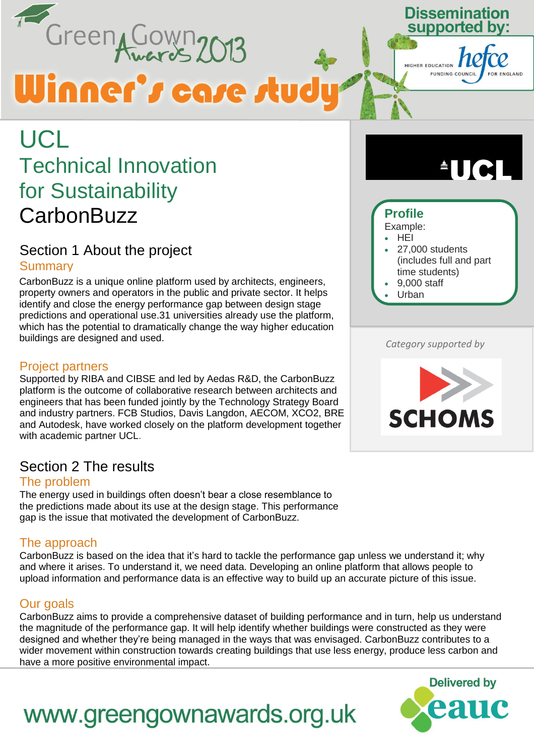Green Cown 2013

# Winner's case study

#### Dissemination supported bv:



### **UCL** Technical Innovation for Sustainability **CarbonBuzz**

#### Section 1 About the project **Summary**

CarbonBuzz is a unique online platform used by architects, engineers, property owners and operators in the public and private sector. It helps identify and close the energy performance gap between design stage predictions and operational use.31 universities already use the platform, which has the potential to dramatically change the way higher education buildings are designed and used. *Category supported by*

#### Project partners

Supported by RIBA and CIBSE and led by Aedas R&D, the CarbonBuzz platform is the outcome of collaborative research between architects and engineers that has been funded jointly by the Technology Strategy Board and industry partners. FCB Studios, Davis Langdon, AECOM, XCO2, BRE and Autodesk, have worked closely on the platform development together with academic partner UCL.

#### Section 2 The results

#### The problem

The energy used in buildings often doesn't bear a close resemblance to the predictions made about its use at the design stage. This performance gap is the issue that motivated the development of CarbonBuzz.

#### The approach

CarbonBuzz is based on the idea that it's hard to tackle the performance gap unless we understand it; why and where it arises. To understand it, we need data. Developing an online platform that allows people to upload information and performance data is an effective way to build up an accurate picture of this issue.

#### Our goals

CarbonBuzz aims to provide a comprehensive dataset of building performance and in turn, help us understand the magnitude of the performance gap. It will help identify whether buildings were constructed as they were designed and whether they're being managed in the ways that was envisaged. CarbonBuzz contributes to a wider movement within construction towards creating buildings that use less energy, produce less carbon and have a more positive environmental impact.



# **AUCL**

### **Profile**

- Example: HEI
- 27,000 students (includes full and part
- time students) 9,000 staff
- 
- Urban

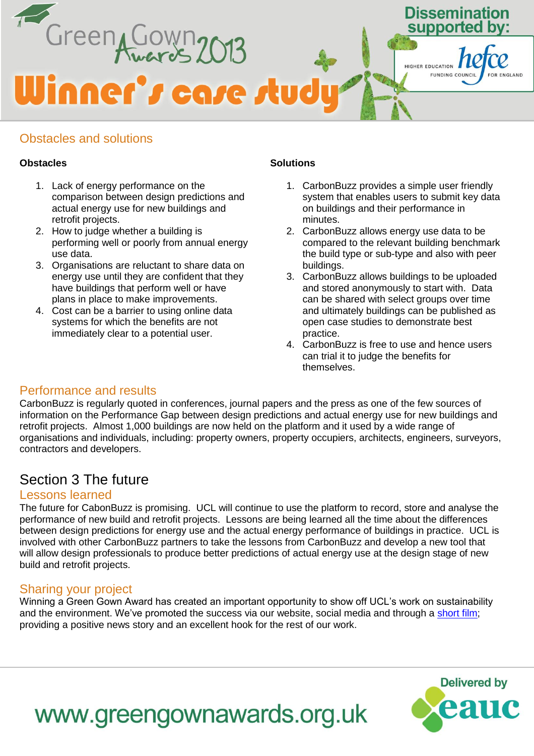

#### Obstacles and solutions

#### **Obstacles**

- 1. Lack of energy performance on the comparison between design predictions and actual energy use for new buildings and retrofit projects.
- 2. How to judge whether a building is performing well or poorly from annual energy use data.
- 3. Organisations are reluctant to share data on energy use until they are confident that they have buildings that perform well or have plans in place to make improvements.
- 4. Cost can be a barrier to using online data systems for which the benefits are not immediately clear to a potential user.

#### **Solutions**

- 1. CarbonBuzz provides a simple user friendly system that enables users to submit key data on buildings and their performance in minutes.
- 2. CarbonBuzz allows energy use data to be compared to the relevant building benchmark the build type or sub-type and also with peer buildings.
- 3. CarbonBuzz allows buildings to be uploaded and stored anonymously to start with. Data can be shared with select groups over time and ultimately buildings can be published as open case studies to demonstrate best practice.
- 4. CarbonBuzz is free to use and hence users can trial it to judge the benefits for themselves.

#### Performance and results

CarbonBuzz is regularly quoted in conferences, journal papers and the press as one of the few sources of information on the Performance Gap between design predictions and actual energy use for new buildings and retrofit projects. Almost 1,000 buildings are now held on the platform and it used by a wide range of organisations and individuals, including: property owners, property occupiers, architects, engineers, surveyors, contractors and developers.

#### Section 3 The future

#### Lessons learned

The future for CabonBuzz is promising. UCL will continue to use the platform to record, store and analyse the performance of new build and retrofit projects. Lessons are being learned all the time about the differences between design predictions for energy use and the actual energy performance of buildings in practice. UCL is involved with other CarbonBuzz partners to take the lessons from CarbonBuzz and develop a new tool that will allow design professionals to produce better predictions of actual energy use at the design stage of new build and retrofit projects.

#### Sharing your project

Winning a Green Gown Award has created an important opportunity to show off UCL's work on sustainability and the environment. We've promoted the success via our website, social media and through a [short film;](http://www.youtube.com/watch?v=-8Qmzes2e1E) providing a positive news story and an excellent hook for the rest of our work.



## www.greengownawards.org.uk